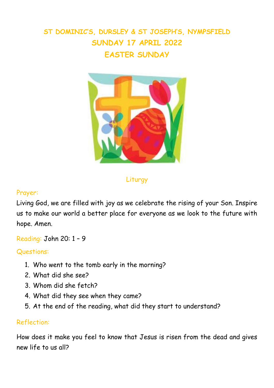# **ST DOMINIC'S, DURSLEY & ST JOSEPH'S, NYMPSFIELD SUNDAY 17 APRIL 2022 EASTER SUNDAY**



Liturgy

#### Prayer:

Living God, we are filled with joy as we celebrate the rising of your Son. Inspire us to make our world a better place for everyone as we look to the future with hope. Amen.

Reading: John 20: 1 – 9

Questions:

- 1. Who went to the tomb early in the morning?
- 2. What did she see?
- 3. Whom did she fetch?
- 4. What did they see when they came?
- 5. At the end of the reading, what did they start to understand?

#### Reflection:

How does it make you feel to know that Jesus is risen from the dead and gives new life to us all?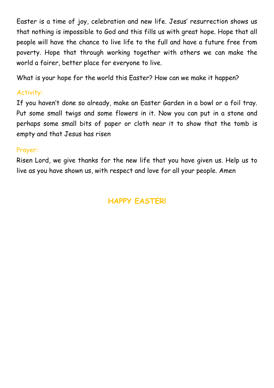Easter is a time of joy, celebration and new life. Jesus' resurrection shows us that nothing is impossible to God and this fills us with great hope. Hope that all people will have the chance to live life to the full and have a future free from poverty. Hope that through working together with others we can make the world a fairer, better place for everyone to live.

What is your hope for the world this Easter? How can we make it happen?

### Activity:

If you haven't done so already, make an Easter Garden in a bowl or a foil tray. Put some small twigs and some flowers in it. Now you can put in a stone and perhaps some small bits of paper or cloth near it to show that the tomb is empty and that Jesus has risen

#### Prayer:

Risen Lord, we give thanks for the new life that you have given us. Help us to live as you have shown us, with respect and love for all your people. Amen

## **HAPPY EASTER!**